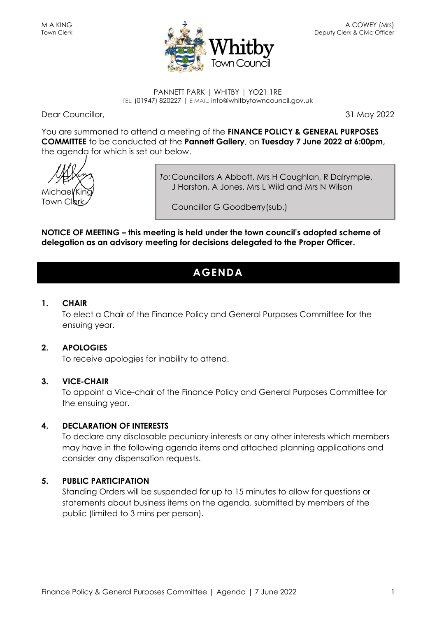

#### PANNETT PARK | WHITBY | YO21 1RE TEL: (01947) 820227 | E MAIL: info@whitbytowncouncil.gov.uk

Dear Councillor, 31 May 2022

You are summoned to attend a meeting of the **FINANCE POLICY & GENERAL PURPOSES COMMITTEE** to be conducted at the **Pannett Gallery**, on **Tuesday 7 June 2022 at 6:00pm,** the agenda for which is set out below.

Michae Town Cler

*To:*Councillors A Abbott, Mrs H Coughlan, R Dalrymple, J Harston, A Jones, Mrs L Wild and Mrs N Wilson

Councillor G Goodberry(sub.)

**NOTICE OF MEETING – this meeting is held under the town council's adopted scheme of delegation as an advisory meeting for decisions delegated to the Proper Officer.**

## **AGENDA**

#### **1. CHAIR**

To elect a Chair of the Finance Policy and General Purposes Committee for the ensuing year.

#### **2. APOLOGIES**

To receive apologies for inability to attend.

#### **3. VICE-CHAIR**

To appoint a Vice-chair of the Finance Policy and General Purposes Committee for the ensuing year.

#### **4. DECLARATION OF INTERESTS**

To declare any disclosable pecuniary interests or any other interests which members may have in the following agenda items and attached planning applications and consider any dispensation requests.

#### **5. PUBLIC PARTICIPATION**

Standing Orders will be suspended for up to 15 minutes to allow for questions or statements about business items on the agenda, submitted by members of the public (limited to 3 mins per person).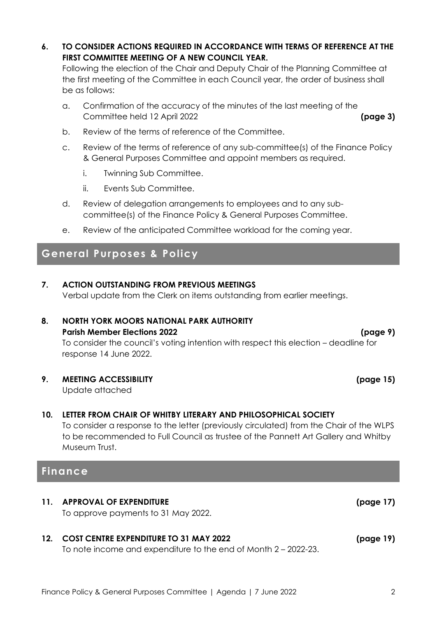**6. TO CONSIDER ACTIONS REQUIRED IN ACCORDANCE WITH TERMS OF REFERENCE AT THE FIRST COMMITTEE MEETING OF A NEW COUNCIL YEAR.**

Following the election of the Chair and Deputy Chair of the Planning Committee at the first meeting of the Committee in each Council year, the order of business shall be as follows:

- a. Confirmation of the accuracy of the minutes of the last meeting of the Committee held 12 April 2022 **(page 3)**
- b. Review of the terms of reference of the Committee.
- c. Review of the terms of reference of any sub-committee(s) of the Finance Policy & General Purposes Committee and appoint members as required.
	- i. Twinning Sub Committee.
	- ii. Events Sub Committee.
- d. Review of delegation arrangements to employees and to any subcommittee(s) of the Finance Policy & General Purposes Committee.
- e. Review of the anticipated Committee workload for the coming year.

## **General Purposes & Policy**

**7. ACTION OUTSTANDING FROM PREVIOUS MEETINGS**

Verbal update from the Clerk on items outstanding from earlier meetings.

## **8. NORTH YORK MOORS NATIONAL PARK AUTHORITY**

#### **Parish Member Elections 2022 (page 9)**

To consider the council's voting intention with respect this election – deadline for response 14 June 2022.

#### **9. MEETING ACCESSIBILITY (page 15)**

Update attached

#### **10. LETTER FROM CHAIR OF WHITBY LITERARY AND PHILOSOPHICAL SOCIETY**

To consider a response to the letter (previously circulated) from the Chair of the WLPS to be recommended to Full Council as trustee of the Pannett Art Gallery and Whitby Museum Trust.

## **Finance**

**11. APPROVAL OF EXPENDITURE (page 17)** To approve payments to 31 May 2022.

## **12. COST CENTRE EXPENDITURE TO 31 MAY 2022 (page 19)**

To note income and expenditure to the end of Month 2 – 2022-23.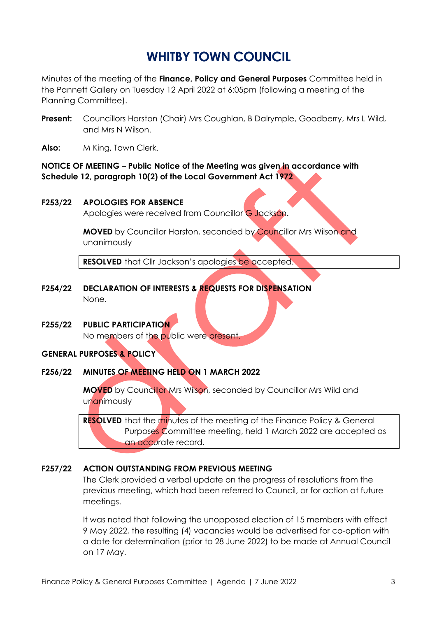# **WHITBY TOWN COUNCIL**

Minutes of the meeting of the **Finance, Policy and General Purposes** Committee held in the Pannett Gallery on Tuesday 12 April 2022 at 6:05pm (following a meeting of the Planning Committee).

- **Present:** Councillors Harston (Chair) Mrs Coughlan, B Dalrymple, Goodberry, Mrs L Wild, and Mrs N Wilson.
- **Also:** M King, Town Clerk.

#### **NOTICE OF MEETING – Public Notice of the Meeting was given in accordance with Schedule 12, paragraph 10(2) of the Local Government Act 1972**

#### **F253/22 APOLOGIES FOR ABSENCE**

Apologies were received from Councillor G Jackson.

**MOVED** by Councillor Harston, seconded by Councillor Mrs Wilson and unanimously

**RESOLVED** that Cllr Jackson's apologies be accepted.

- **F254/22 DECLARATION OF INTERESTS & REQUESTS FOR DISPENSATION** None.
- **F255/22 PUBLIC PARTICIPATION**

No members of the public were present.

#### **GENERAL PURPOSES & POLICY**

#### **F256/22 MINUTES OF MEETING HELD ON 1 MARCH 2022**

**MOVED** by Councillor Mrs Wilson, seconded by Councillor Mrs Wild and unanimously

**RESOLVED** that the minutes of the meeting of the Finance Policy & General Purposes Committee meeting, held 1 March 2022 are accepted as an accurate record.

#### **F257/22 ACTION OUTSTANDING FROM PREVIOUS MEETING**

The Clerk provided a verbal update on the progress of resolutions from the previous meeting, which had been referred to Council, or for action at future meetings.

It was noted that following the unopposed election of 15 members with effect 9 May 2022, the resulting (4) vacancies would be advertised for co-option with a date for determination (prior to 28 June 2022) to be made at Annual Council on 17 May.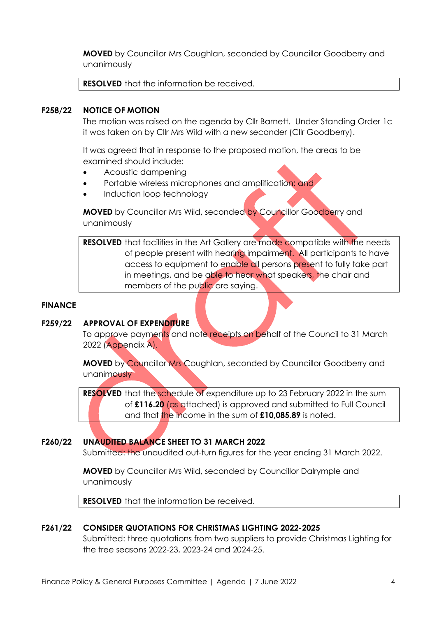**MOVED** by Councillor Mrs Coughlan, seconded by Councillor Goodberry and unanimously

**RESOLVED** that the information be received.

#### **F258/22 NOTICE OF MOTION**

The motion was raised on the agenda by Cllr Barnett. Under Standing Order 1c it was taken on by Cllr Mrs Wild with a new seconder (Cllr Goodberry).

It was agreed that in response to the proposed motion, the areas to be examined should include:

- Acoustic dampening
- Portable wireless microphones and amplification; and
- Induction loop technology

**MOVED** by Councillor Mrs Wild, seconded by Councillor Goodberry and unanimously

**RESOLVED** that facilities in the Art Gallery are made compatible with the needs of people present with hearing impairment. All participants to have access to equipment to enable all persons present to fully take part in meetings, and be able to hear what speakers, the chair and members of the public are saying.

#### **FINANCE**

#### **F259/22 APPROVAL OF EXPENDITURE**

To approve payments and note receipts on behalf of the Council to 31 March 2022 (Appendix A).

**MOVED** by Councillor Mrs Coughlan, seconded by Councillor Goodberry and unanimously

**RESOLVED** that the schedule of expenditure up to 23 February 2022 in the sum of **£116.20** (as attached) is approved and submitted to Full Council and that the income in the sum of **£10,085.89** is noted.

#### **F260/22 UNAUDITED BALANCE SHEET TO 31 MARCH 2022**

Submitted: the unaudited out-turn figures for the year ending 31 March 2022.

**MOVED** by Councillor Mrs Wild, seconded by Councillor Dalrymple and unanimously

**RESOLVED** that the information be received.

#### **F261/22 CONSIDER QUOTATIONS FOR CHRISTMAS LIGHTING 2022-2025**

Submitted: three quotations from two suppliers to provide Christmas Lighting for the tree seasons 2022-23, 2023-24 and 2024-25.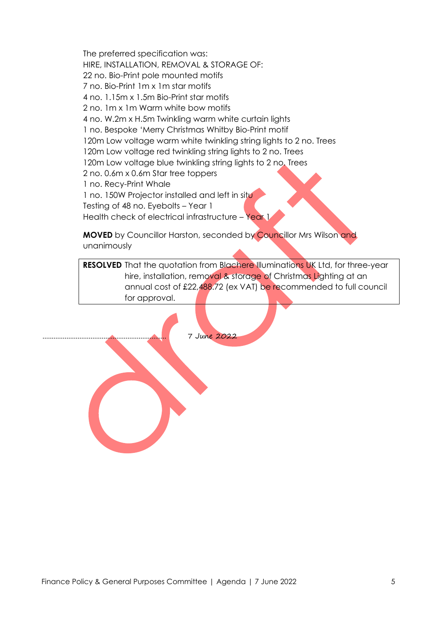The preferred specification was: HIRE, INSTALLATION, REMOVAL & STORAGE OF: 22 no. Bio-Print pole mounted motifs 7 no. Bio-Print 1m x 1m star motifs 4 no. 1.15m x 1.5m Bio-Print star motifs 2 no. 1m x 1m Warm white bow motifs 4 no. W.2m x H.5m Twinkling warm white curtain lights 1 no. Bespoke 'Merry Christmas Whitby Bio-Print motif 120m Low voltage warm white twinkling string lights to 2 no. Trees 120m Low voltage red twinkling string lights to 2 no. Trees 120m Low voltage blue twinkling string lights to 2 no. Trees 2 no. 0.6m x 0.6m Star tree toppers 1 no. Recy-Print Whale 1 no. 150W Projector installed and left in situ Testing of 48 no. Eyebolts – Year 1 Health check of electrical infrastructure - Year 1

**MOVED** by Councillor Harston, seconded by Councillor Mrs Wilson and unanimously

**RESOLVED** That the quotation from Blachere Illuminations UK Ltd, for three-year hire, installation, removal & storage of Christmas Lighting at an annual cost of £22,488.72 (ex VAT) be recommended to full council for approval.

7 June 2022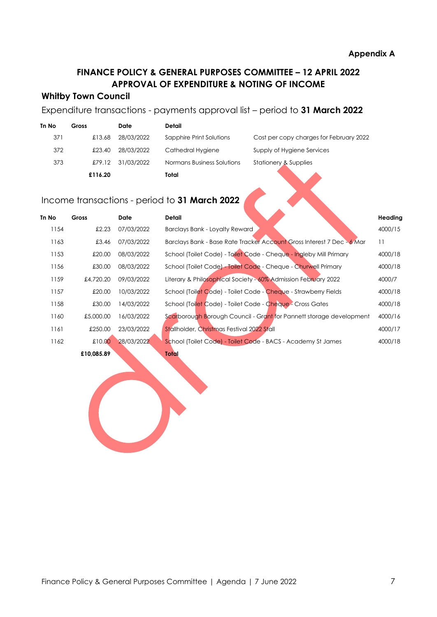## **FINANCE POLICY & GENERAL PURPOSES COMMITTEE – 12 APRIL 2022 APPROVAL OF EXPENDITURE & NOTING OF INCOME**

#### **Whitby Town Council**

### Expenditure transactions - payments approval list – period to **31 March 2022**

| <b>Tn No</b> | Gross   | Date       | Detail                     |                                         |
|--------------|---------|------------|----------------------------|-----------------------------------------|
| 371          | £13.68  | 28/03/2022 | Sapphire Print Solutions   | Cost per copy charges for February 2022 |
| 372          | £23.40  | 28/03/2022 | Cathedral Hygiene          | Supply of Hygiene Services              |
| 373          | £79.12  | 31/03/2022 | Normans Business Solutions | Stationery & Supplies                   |
|              | £116.20 |            | Total                      |                                         |

## Income transactions - period to **31 March 2022**

| Tn No | Gross      | Date       | Detail                                                                 | Heading |
|-------|------------|------------|------------------------------------------------------------------------|---------|
| 1154  | £2.23      | 07/03/2022 | Barclays Bank - Loyalty Reward                                         | 4000/15 |
| 1163  | £3.46      | 07/03/2022 | Barclays Bank - Base Rate Tracker Account Gross Interest 7 Dec - 6 Mar | 11      |
| 1153  | £20.00     | 08/03/2022 | School (Toilet Code) - Toilet Code - Cheque - Ingleby Mill Primary     | 4000/18 |
| 1156  | £30.00     | 08/03/2022 | School (Toilet Code) - Toilet Code - Cheque - Churwell Primary         | 4000/18 |
| 1159  | £4,720.20  | 09/03/2022 | Literary & Philosophical Society - 60% Admission February 2022         | 4000/7  |
| 1157  | £20.00     | 10/03/2022 | School (Toilet Code) - Toilet Code - Cheque - Strawberry Fields        | 4000/18 |
| 1158  | £30.00     | 14/03/2022 | School (Toilet Code) - Toilet Code - Cheque - Cross Gates              | 4000/18 |
| 1160  | £5,000.00  | 16/03/2022 | Scarborough Borough Council - Grant for Pannett storage development    | 4000/16 |
| 1161  | £250.00    | 23/03/2022 | Stallholder, Christmas Festival 2022 Stall                             | 4000/17 |
| 1162  | £10.00     | 28/03/2022 | School (Toilet Code) - Toilet Code - BACS - Academy St James           | 4000/18 |
|       | £10,085.89 |            | Total                                                                  |         |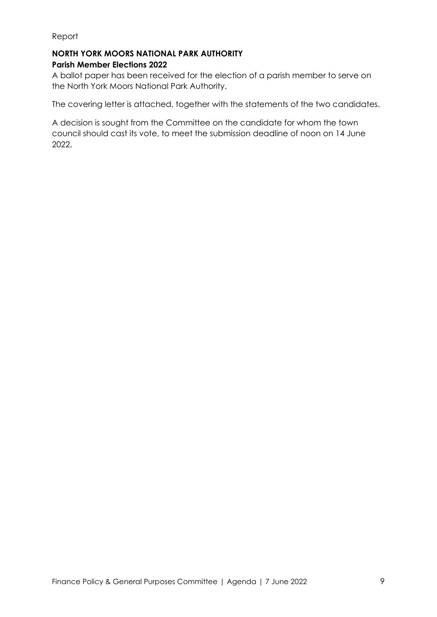#### **NORTH YORK MOORS NATIONAL PARK AUTHORITY Parish Member Elections 2022**

A ballot paper has been received for the election of a parish member to serve on the North York Moors National Park Authority.

The covering letter is attached, together with the statements of the two candidates.

A decision is sought from the Committee on the candidate for whom the town council should cast its vote, to meet the submission deadline of noon on 14 June 2022.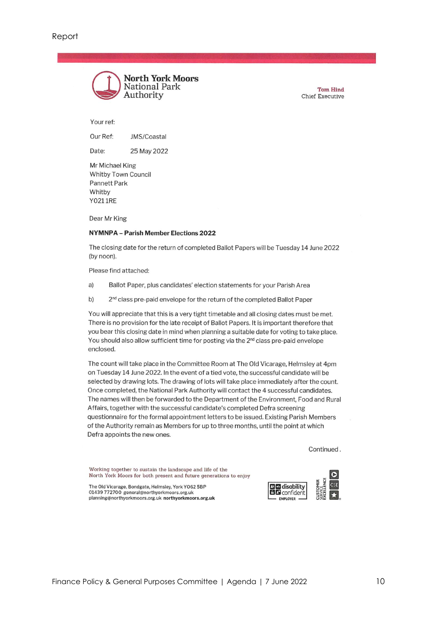

**Tom Hind Chief Executive** 

Your ref:

Our Ref: JMS/Coastal

Date: 25 May 2022

Mr Michael King **Whitby Town Council Pannett Park** Whitby **Y0211RE** 

Dear Mr King

#### NYMNPA - Parish Member Elections 2022

The closing date for the return of completed Ballot Papers will be Tuesday 14 June 2022 (by noon).

Please find attached:

- a) Ballot Paper, plus candidates' election statements for your Parish Area
- b) 2<sup>nd</sup> class pre-paid envelope for the return of the completed Ballot Paper

You will appreciate that this is a very tight timetable and all closing dates must be met. There is no provision for the late receipt of Ballot Papers. It is important therefore that you bear this closing date in mind when planning a suitable date for voting to take place. You should also allow sufficient time for posting via the 2<sup>nd</sup> class pre-paid envelope enclosed.

The count will take place in the Committee Room at The Old Vicarage, Helmsley at 4pm on Tuesday 14 June 2022. In the event of a tied vote, the successful candidate will be selected by drawing lots. The drawing of lots will take place immediately after the count. Once completed, the National Park Authority will contact the 4 successful candidates. The names will then be forwarded to the Department of the Environment, Food and Rural Affairs, together with the successful candidate's completed Defra screening questionnaire for the formal appointment letters to be issued. Existing Parish Members of the Authority remain as Members for up to three months, until the point at which Defra appoints the new ones.

Continued.

Working together to sustain the landscape and life of the North York Moors for both present and future generations to enjoy

The Old Vicarage, Bondgate, Helmsley, York YO62 5BP 01439 772700 general@northyorkmoors.org.uk planning@northyorkmoors.org.uk northyorkmoors.org.uk

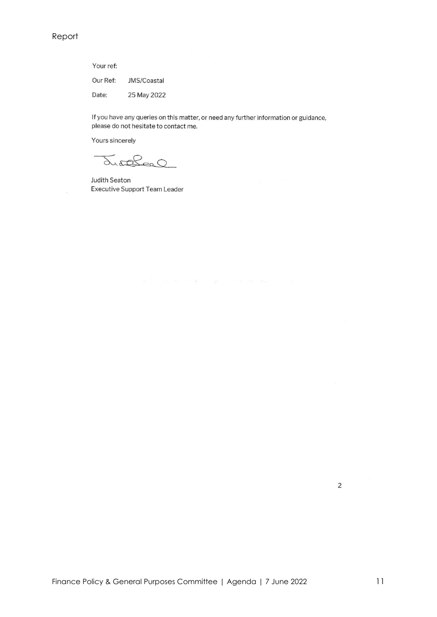Your ref: Our Ref: JMS/Coastal Date: 25 May 2022

If you have any queries on this matter, or need any further information or guidance, please do not hesitate to contact me.

Yours sincerely

Justelesc

Judith Seaton **Executive Support Team Leader**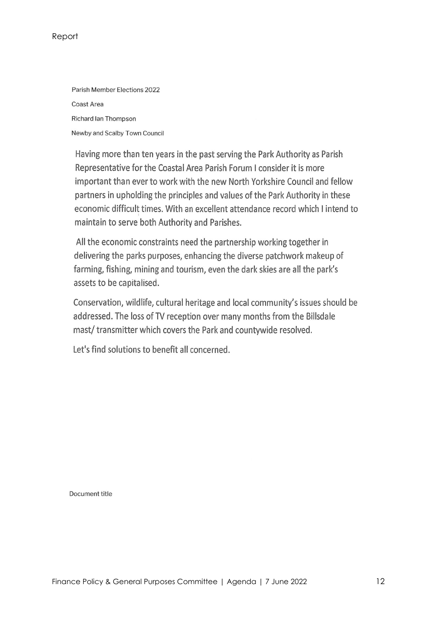Parish Member Elections 2022 Coast Area Richard Ian Thompson Newby and Scalby Town Council

Having more than ten years in the past serving the Park Authority as Parish Representative for the Coastal Area Parish Forum I consider it is more important than ever to work with the new North Yorkshire Council and fellow partners in upholding the principles and values of the Park Authority in these economic difficult times. With an excellent attendance record which I intend to maintain to serve both Authority and Parishes.

All the economic constraints need the partnership working together in delivering the parks purposes, enhancing the diverse patchwork makeup of farming, fishing, mining and tourism, even the dark skies are all the park's assets to be capitalised.

Conservation, wildlife, cultural heritage and local community's issues should be addressed. The loss of TV reception over many months from the Billsdale mast/transmitter which covers the Park and countywide resolved.

Let's find solutions to benefit all concerned.

Document title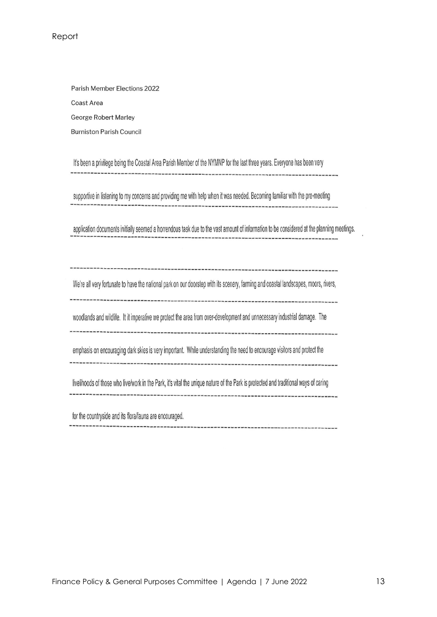Parish Member Elections 2022 Coast Area **George Robert Marley Burniston Parish Council** 

It's been a privilege being the Coastal Area Parish Member of the NYMNP for the last three years. Everyone has been very 

supportive in listening to my concerns and providing me with help when it was needed. Becoming familiar with the pre-meeting 

application documents initially seemed a horrendous task due to the vast amount of information to be considered at the planning meetings.

We're all very fortunate to have the national park on our doorstep with its scenery, farming and coastal landscapes, moors, rivers,

woodlands and wildlife. It it imperative we protect the area from over-development and unnecessary industrial damage. The

emphasis on encouraging dark skies is very important. While understanding the need to encourage visitors and protect the

livelihoods of those who live/work in the Park, it's vital the unique nature of the Park is protected and traditional ways of caring 

for the countryside and its flora/fauna are encouraged.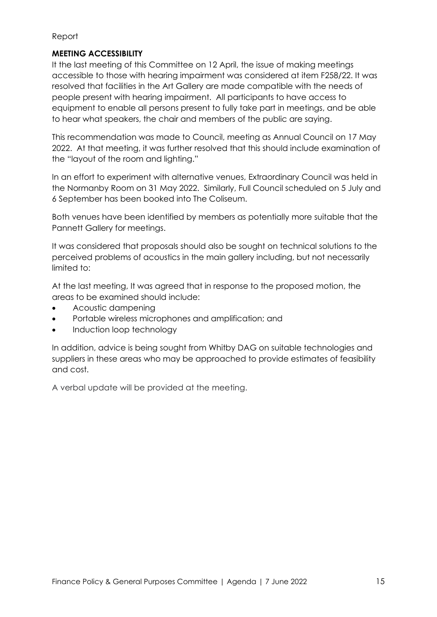#### **MEETING ACCESSIBILITY**

It the last meeting of this Committee on 12 April, the issue of making meetings accessible to those with hearing impairment was considered at item F258/22. It was resolved that facilities in the Art Gallery are made compatible with the needs of people present with hearing impairment. All participants to have access to equipment to enable all persons present to fully take part in meetings, and be able to hear what speakers, the chair and members of the public are saying.

This recommendation was made to Council, meeting as Annual Council on 17 May 2022. At that meeting, it was further resolved that this should include examination of the "layout of the room and lighting."

In an effort to experiment with alternative venues, Extraordinary Council was held in the Normanby Room on 31 May 2022. Similarly, Full Council scheduled on 5 July and 6 September has been booked into The Coliseum.

Both venues have been identified by members as potentially more suitable that the Pannett Gallery for meetings.

It was considered that proposals should also be sought on technical solutions to the perceived problems of acoustics in the main gallery including, but not necessarily limited to:

At the last meeting, It was agreed that in response to the proposed motion, the areas to be examined should include:

- Acoustic dampening
- Portable wireless microphones and amplification; and
- Induction loop technology

In addition, advice is being sought from Whitby DAG on suitable technologies and suppliers in these areas who may be approached to provide estimates of feasibility and cost.

A verbal update will be provided at the meeting.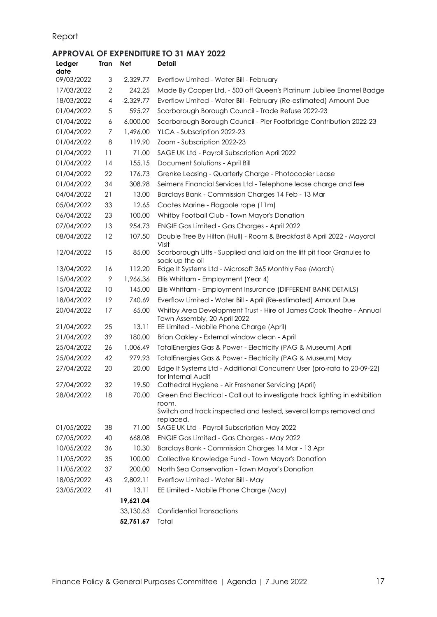## **APPROVAL OF EXPENDITURE TO 31 MAY 2022**

| <b>Ledger</b><br>date | <b>Tran</b>  | <b>Net</b>  | <b>Detail</b>                                                                                                                                                         |
|-----------------------|--------------|-------------|-----------------------------------------------------------------------------------------------------------------------------------------------------------------------|
| 09/03/2022            | 3            | 2,329.77    | Everflow Limited - Water Bill - February                                                                                                                              |
| 17/03/2022            | $\mathbf{2}$ | 242.25      | Made By Cooper Ltd. - 500 off Queen's Platinum Jubilee Enamel Badge                                                                                                   |
| 18/03/2022            | 4            | $-2,329.77$ | Everflow Limited - Water Bill - February (Re-estimated) Amount Due                                                                                                    |
| 01/04/2022            | 5            | 595.27      | Scarborough Borough Council - Trade Refuse 2022-23                                                                                                                    |
| 01/04/2022            | 6            | 6,000.00    | Scarborough Borough Council - Pier Footbridge Contribution 2022-23                                                                                                    |
| 01/04/2022            | 7            | 1,496.00    | YLCA - Subscription 2022-23                                                                                                                                           |
| 01/04/2022            | 8            | 119.90      | Zoom - Subscription 2022-23                                                                                                                                           |
| 01/04/2022            | 11           | 71.00       | SAGE UK Ltd - Payroll Subscription April 2022                                                                                                                         |
| 01/04/2022            | 14           | 155.15      | Document Solutions - April Bill                                                                                                                                       |
| 01/04/2022            | 22           | 176.73      | Grenke Leasing - Quarterly Charge - Photocopier Lease                                                                                                                 |
| 01/04/2022            | 34           | 308.98      | Seimens Financial Services Ltd - Telephone lease charge and fee                                                                                                       |
| 04/04/2022            | 21           | 13.00       | Barclays Bank - Commission Charges 14 Feb - 13 Mar                                                                                                                    |
| 05/04/2022            | 33           | 12.65       | Coates Marine - Flagpole rope (11m)                                                                                                                                   |
| 06/04/2022            | 23           | 100.00      | Whitby Football Club - Town Mayor's Donation                                                                                                                          |
| 07/04/2022            | 13           | 954.73      | ENGIE Gas Limited - Gas Charges - April 2022                                                                                                                          |
| 08/04/2022            | 12           | 107.50      | Double Tree By Hilton (Hull) - Room & Breakfast 8 April 2022 - Mayoral<br>Visit                                                                                       |
| 12/04/2022            | 15           | 85.00       | Scarborough Lifts - Supplied and laid on the lift pit floor Granules to<br>soak up the oil                                                                            |
| 13/04/2022            | 16           | 112.20      | Edge It Systems Ltd - Microsoft 365 Monthly Fee (March)                                                                                                               |
| 15/04/2022            | 9            | 1,966.36    | Ellis Whittam - Employment (Year 4)                                                                                                                                   |
| 15/04/2022            | 10           | 145.00      | Ellis Whittam - Employment Insurance (DIFFERENT BANK DETAILS)                                                                                                         |
| 18/04/2022            | 19           | 740.69      | Everflow Limited - Water Bill - April (Re-estimated) Amount Due                                                                                                       |
| 20/04/2022            | 17           | 65.00       | Whitby Area Development Trust - Hire of James Cook Theatre - Annual<br>Town Assembly, 20 April 2022                                                                   |
| 21/04/2022            | 25           | 13.11       | EE Limited - Mobile Phone Charge (April)                                                                                                                              |
| 21/04/2022            | 39           | 180.00      | Brian Oakley - External window clean - April                                                                                                                          |
| 25/04/2022            | 26           | 1,006.49    | TotalEnergies Gas & Power - Electricity (PAG & Museum) April                                                                                                          |
| 25/04/2022            | 42           | 979.93      | TotalEnergies Gas & Power - Electricity (PAG & Museum) May                                                                                                            |
| 27/04/2022            | 20           | 20.00       | Edge It Systems Ltd - Additional Concurrent User (pro-rata to 20-09-22)<br>for Internal Audit                                                                         |
| 27/04/2022            | 32           | 19.50       | Cathedral Hygiene - Air Freshener Servicing (April)                                                                                                                   |
| 28/04/2022            | 18           | 70.00       | Green End Electrical - Call out to investigate track lighting in exhibition<br>room.<br>Switch and track inspected and tested, several lamps removed and<br>replaced. |
| 01/05/2022            | 38           | 71.00       | SAGE UK Ltd - Payroll Subscription May 2022                                                                                                                           |
| 07/05/2022            | 40           | 668.08      | <b>ENGIE Gas Limited - Gas Charges - May 2022</b>                                                                                                                     |
| 10/05/2022            | 36           | 10.30       | Barclays Bank - Commission Charges 14 Mar - 13 Apr                                                                                                                    |
| 11/05/2022            | 35           | 100.00      | Collective Knowledge Fund - Town Mayor's Donation                                                                                                                     |
| 11/05/2022            | 37           | 200.00      | North Sea Conservation - Town Mayor's Donation                                                                                                                        |
| 18/05/2022            | 43           | 2,802.11    | Everflow Limited - Water Bill - May                                                                                                                                   |
| 23/05/2022            | 41           | 13.11       | EE Limited - Mobile Phone Charge (May)                                                                                                                                |
|                       |              | 19,621.04   |                                                                                                                                                                       |
|                       |              | 33,130.63   | <b>Confidential Transactions</b>                                                                                                                                      |
|                       |              | 52,751.67   | Total                                                                                                                                                                 |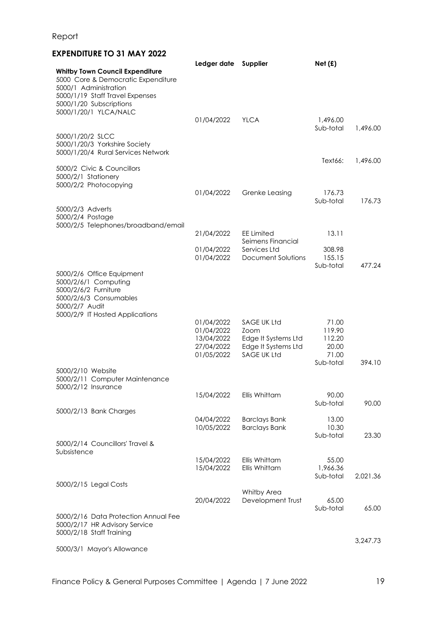## **EXPENDITURE TO 31 MAY 2022**

|                                                                                                                       | Ledger date                                                        | Supplier                                                                                | Net(f)                                                   |          |
|-----------------------------------------------------------------------------------------------------------------------|--------------------------------------------------------------------|-----------------------------------------------------------------------------------------|----------------------------------------------------------|----------|
| <b>Whitby Town Council Expenditure</b><br>5000 Core & Democratic Expenditure<br>5000/1 Administration                 |                                                                    |                                                                                         |                                                          |          |
| 5000/1/19 Staff Travel Expenses<br>5000/1/20 Subscriptions<br>5000/1/20/1 YLCA/NALC                                   |                                                                    |                                                                                         |                                                          |          |
|                                                                                                                       | 01/04/2022                                                         | <b>YLCA</b>                                                                             | 1,496.00<br>Sub-total                                    |          |
| 5000/1/20/2 SLCC<br>5000/1/20/3 Yorkshire Society<br>5000/1/20/4 Rural Services Network                               |                                                                    |                                                                                         |                                                          | 1,496.00 |
| 5000/2 Civic & Councillors<br>5000/2/1 Stationery<br>5000/2/2 Photocopying                                            |                                                                    |                                                                                         | Text66:                                                  | 1,496.00 |
|                                                                                                                       | 01/04/2022                                                         | Grenke Leasing                                                                          | 176.73                                                   |          |
| 5000/2/3 Adverts<br>5000/2/4 Postage<br>5000/2/5 Telephones/broadband/email                                           |                                                                    |                                                                                         | Sub-total                                                | 176.73   |
|                                                                                                                       | 21/04/2022                                                         | <b>EE Limited</b><br>Seimens Financial                                                  | 13.11                                                    |          |
|                                                                                                                       | 01/04/2022<br>01/04/2022                                           | Services Ltd<br>Document Solutions                                                      | 308.98<br>155.15<br>Sub-total                            | 477.24   |
| 5000/2/6 Office Equipment<br>5000/2/6/1 Computing<br>5000/2/6/2 Furniture<br>5000/2/6/3 Consumables<br>5000/2/7 Audit |                                                                    |                                                                                         |                                                          |          |
| 5000/2/9 IT Hosted Applications                                                                                       | 01/04/2022<br>01/04/2022<br>13/04/2022<br>27/04/2022<br>01/05/2022 | SAGE UK Ltd<br>Zoom<br>Edge It Systems Ltd<br>Edge It Systems Ltd<br><b>SAGE UK Ltd</b> | 71.00<br>119.90<br>112.20<br>20.00<br>71.00<br>Sub-total | 394.10   |
| 5000/2/10 Website<br>5000/2/11 Computer Maintenance<br>5000/2/12 Insurance                                            |                                                                    |                                                                                         |                                                          |          |
|                                                                                                                       | 15/04/2022                                                         | Ellis Whittam                                                                           | 90.00<br>Sub-total                                       | 90.00    |
| 5000/2/13 Bank Charges                                                                                                | 04/04/2022                                                         | <b>Barclays Bank</b>                                                                    | 13.00                                                    |          |
|                                                                                                                       | 10/05/2022                                                         | <b>Barclays Bank</b>                                                                    | 10.30<br>Sub-total                                       | 23.30    |
| 5000/2/14 Councillors' Travel &<br>Subsistence                                                                        |                                                                    |                                                                                         |                                                          |          |
|                                                                                                                       | 15/04/2022<br>15/04/2022                                           | Ellis Whittam<br>Ellis Whittam                                                          | 55.00<br>1,966.36<br>Sub-total                           | 2,021.36 |
| 5000/2/15 Legal Costs                                                                                                 | 20/04/2022                                                         | Whitby Area<br>Development Trust                                                        | 65.00<br>Sub-total                                       | 65.00    |
| 5000/2/16 Data Protection Annual Fee<br>5000/2/17 HR Advisory Service<br>5000/2/18 Staff Training                     |                                                                    |                                                                                         |                                                          |          |
| 5000/3/1 Mayor's Allowance                                                                                            |                                                                    |                                                                                         |                                                          | 3,247.73 |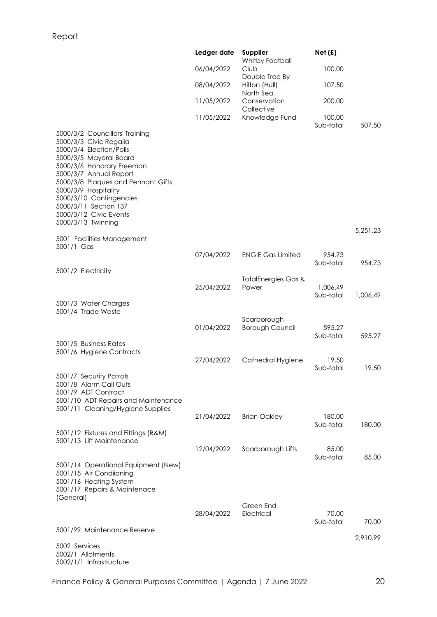|                                                                                                                                                                                                                                                                                                                                        | Ledger date | Supplier<br>Whitby Football           | Net(f)                |                   |
|----------------------------------------------------------------------------------------------------------------------------------------------------------------------------------------------------------------------------------------------------------------------------------------------------------------------------------------|-------------|---------------------------------------|-----------------------|-------------------|
|                                                                                                                                                                                                                                                                                                                                        | 06/04/2022  | Club<br>Double Tree By                | 100.00                |                   |
|                                                                                                                                                                                                                                                                                                                                        | 08/04/2022  | Hilton (Hull)<br>North Sea            | 107.50                |                   |
|                                                                                                                                                                                                                                                                                                                                        | 11/05/2022  | Conservation<br>Collective            | 200.00                |                   |
|                                                                                                                                                                                                                                                                                                                                        | 11/05/2022  | Knowledge Fund                        | 100.00<br>Sub-total   | 507.50            |
| 5000/3/2 Councillors' Training<br>5000/3/3 Civic Regalia<br>5000/3/4 Election/Polls<br>5000/3/5 Mayoral Board<br>5000/3/6 Honorary Freeman<br>5000/3/7 Annual Report<br>5000/3/8 Plaques and Pennant Gifts<br>5000/3/9 Hospitality<br>5000/3/10 Contingencies<br>5000/3/11 Section 137<br>5000/3/12 Civic Events<br>5000/3/13 Twinning |             |                                       |                       | 5,251.23          |
| 5001 Facilities Management<br>5001/1 Gas                                                                                                                                                                                                                                                                                               |             |                                       |                       |                   |
|                                                                                                                                                                                                                                                                                                                                        | 07/04/2022  | <b>ENGIE Gas Limited</b>              | 954.73<br>Sub-total   | 954.73            |
| 5001/2 Electricity                                                                                                                                                                                                                                                                                                                     |             | <b>TotalEnergies Gas &amp;</b>        |                       |                   |
|                                                                                                                                                                                                                                                                                                                                        | 25/04/2022  | Power                                 | 1.006.49<br>Sub-total | 1,006.49          |
| 5001/3 Water Charges<br>5001/4 Trade Waste                                                                                                                                                                                                                                                                                             |             |                                       |                       |                   |
|                                                                                                                                                                                                                                                                                                                                        | 01/04/2022  | Scarborough<br><b>Borough Council</b> | 595.27<br>Sub-total   | 595.27            |
| 5001/5 Business Rates<br>5001/6 Hygiene Contracts                                                                                                                                                                                                                                                                                      |             |                                       |                       |                   |
|                                                                                                                                                                                                                                                                                                                                        | 27/04/2022  | Cathedral Hygiene                     | 19.50<br>Sub-total    | 19.50             |
| 5001/7 Security Patrols<br>5001/8 Alarm Call Outs<br>5001/9 ADT Contract<br>5001/10 ADT Repairs and Maintenance                                                                                                                                                                                                                        |             |                                       |                       |                   |
| 5001/11 Cleaning/Hygiene Supplies                                                                                                                                                                                                                                                                                                      | 21/04/2022  | <b>Brian Oakley</b>                   | 180.00                |                   |
| 5001/12 Fixtures and Fittings (R&M)                                                                                                                                                                                                                                                                                                    |             |                                       | Sub-total             | 180.00            |
| 5001/13 Lift Maintenance                                                                                                                                                                                                                                                                                                               | 12/04/2022  | Scarborough Lifts                     | 85.00                 |                   |
| 5001/14 Operational Equipment (New)<br>5001/15 Air Condiioning<br>5001/16 Heating System<br>5001/17 Repairs & Maintenace<br>(General)                                                                                                                                                                                                  |             |                                       | Sub-total             | 85.00             |
|                                                                                                                                                                                                                                                                                                                                        | 28/04/2022  | Green End<br>Electrical               | 70.00<br>Sub-total    |                   |
| 5001/99 Maintenance Reserve                                                                                                                                                                                                                                                                                                            |             |                                       |                       | 70.00<br>2,910.99 |
| 5002 Services<br>5002/1 Allotments<br>5002/1/1 Infrastructure                                                                                                                                                                                                                                                                          |             |                                       |                       |                   |